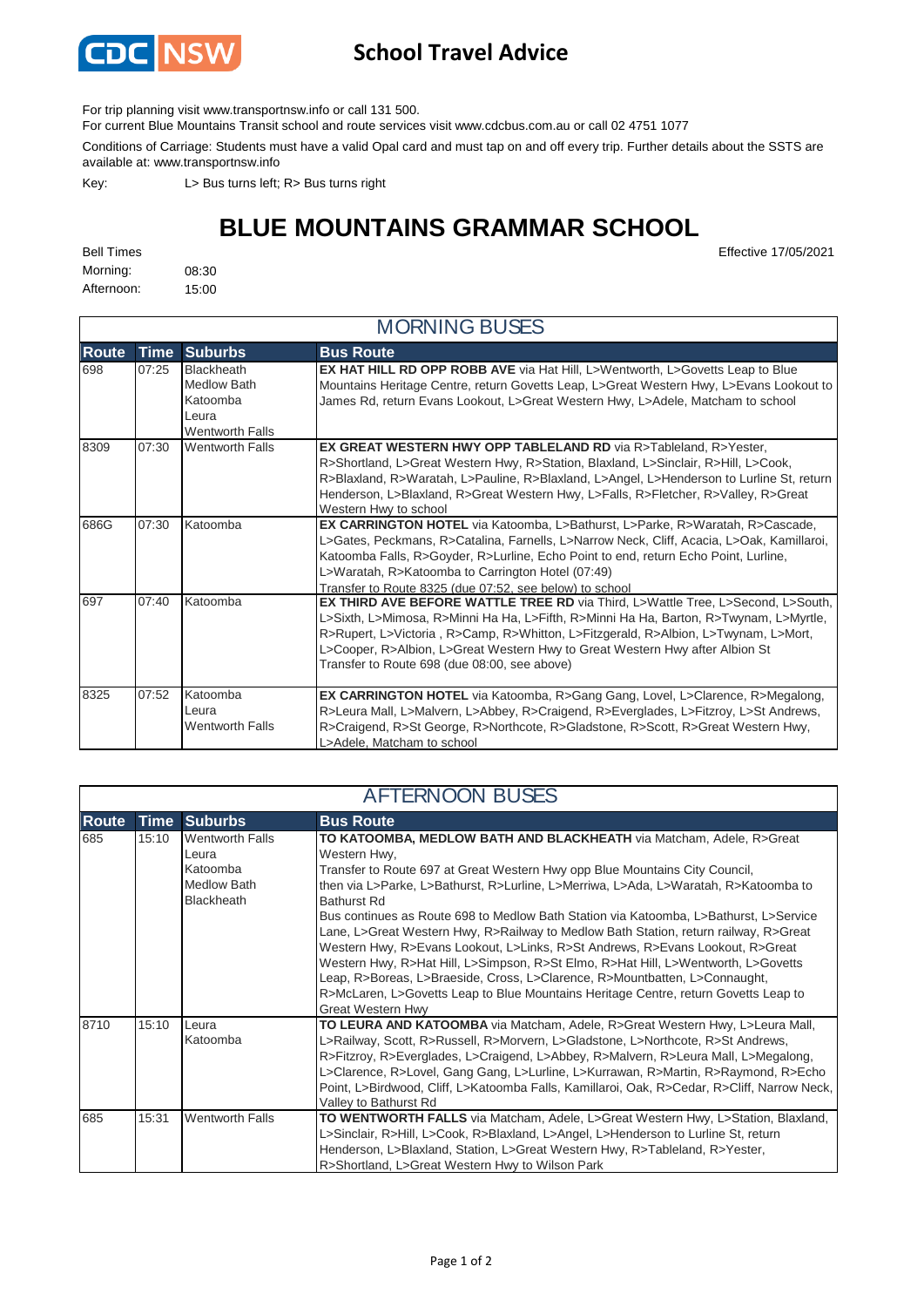

## **School Travel Advice**

For trip planning visit www.transportnsw.info or call 131 500.

For current Blue Mountains Transit school and route services visit www.cdcbus.com.au or call 02 4751 1077

Conditions of Carriage: Students must have a valid Opal card and must tap on and off every trip. Further details about the SSTS are available at: www.transportnsw.info

Key: L> Bus turns left; R> Bus turns right

## **BLUE MOUNTAINS GRAMMAR SCHOOL**

Morning: 08:30 Afternoon: 15:00

| <b>MORNING BUSES</b> |             |                                                                                 |                                                                                                                                                                                                                                                                                                                                                                                                       |  |  |  |
|----------------------|-------------|---------------------------------------------------------------------------------|-------------------------------------------------------------------------------------------------------------------------------------------------------------------------------------------------------------------------------------------------------------------------------------------------------------------------------------------------------------------------------------------------------|--|--|--|
| <b>Route</b>         | <b>Time</b> | <b>Suburbs</b>                                                                  | <b>Bus Route</b>                                                                                                                                                                                                                                                                                                                                                                                      |  |  |  |
| 698                  | 07:25       | Blackheath<br><b>Medlow Bath</b><br>Katoomba<br>Leura<br><b>Wentworth Falls</b> | <b>EX HAT HILL RD OPP ROBB AVE</b> via Hat Hill, L>Wentworth, L>Govetts Leap to Blue<br>Mountains Heritage Centre, return Govetts Leap, L>Great Western Hwy, L>Evans Lookout to<br>James Rd, return Evans Lookout, L>Great Western Hwy, L>Adele, Matcham to school                                                                                                                                    |  |  |  |
| 8309                 | 07:30       | <b>Wentworth Falls</b>                                                          | EX GREAT WESTERN HWY OPP TABLELAND RD via R>Tableland, R>Yester,<br>R>Shortland, L>Great Western Hwy, R>Station, Blaxland, L>Sinclair, R>Hill, L>Cook,<br>R>Blaxland, R>Waratah, L>Pauline, R>Blaxland, L>Angel, L>Henderson to Lurline St, return<br>Henderson, L>Blaxland, R>Great Western Hwy, L>Falls, R>Fletcher, R>Valley, R>Great<br>Western Hwy to school                                     |  |  |  |
| 686G                 | 07:30       | Katoomba                                                                        | EX CARRINGTON HOTEL via Katoomba, L>Bathurst, L>Parke, R>Waratah, R>Cascade,<br>L>Gates, Peckmans, R>Catalina, Farnells, L>Narrow Neck, Cliff, Acacia, L>Oak, Kamillaroi,<br>Katoomba Falls, R>Goyder, R>Lurline, Echo Point to end, return Echo Point, Lurline,<br>L>Waratah, R>Katoomba to Carrington Hotel (07:49)<br>Transfer to Route 8325 (due 07:52, see below) to school                      |  |  |  |
| 697                  | 07:40       | Katoomba                                                                        | <b>EX THIRD AVE BEFORE WATTLE TREE RD</b> via Third, L>Wattle Tree, L>Second, L>South,<br>L>Sixth, L>Mimosa, R>Minni Ha Ha, L>Fifth, R>Minni Ha Ha, Barton, R>Twynam, L>Myrtle,<br>R>Rupert, L>Victoria, R>Camp, R>Whitton, L>Fitzgerald, R>Albion, L>Twynam, L>Mort,<br>L>Cooper, R>Albion, L>Great Western Hwy to Great Western Hwy after Albion St<br>Transfer to Route 698 (due 08:00, see above) |  |  |  |
| 8325                 | 07:52       | Katoomba<br>Leura<br><b>Wentworth Falls</b>                                     | EX CARRINGTON HOTEL via Katoomba, R>Gang Gang, Lovel, L>Clarence, R>Megalong,<br>R>Leura Mall, L>Malvern, L>Abbey, R>Craigend, R>Everglades, L>Fitzroy, L>St Andrews,<br>R>Craigend, R>St George, R>Northcote, R>Gladstone, R>Scott, R>Great Western Hwy,<br>L>Adele, Matcham to school                                                                                                               |  |  |  |

| <b>AFTERNOON BUSES</b> |             |                                                                          |                                                                                                                                                                                                                                                                                                                                                                                                                                                                                                                                                                                                                                                                                                                                                                                                                                         |  |  |  |
|------------------------|-------------|--------------------------------------------------------------------------|-----------------------------------------------------------------------------------------------------------------------------------------------------------------------------------------------------------------------------------------------------------------------------------------------------------------------------------------------------------------------------------------------------------------------------------------------------------------------------------------------------------------------------------------------------------------------------------------------------------------------------------------------------------------------------------------------------------------------------------------------------------------------------------------------------------------------------------------|--|--|--|
| <b>Route</b>           | <b>Time</b> | <b>Suburbs</b>                                                           | <b>Bus Route</b>                                                                                                                                                                                                                                                                                                                                                                                                                                                                                                                                                                                                                                                                                                                                                                                                                        |  |  |  |
| 685                    | 15:10       | <b>Wentworth Falls</b><br>Leura<br>Katoomba<br>Medlow Bath<br>Blackheath | TO KATOOMBA, MEDLOW BATH AND BLACKHEATH via Matcham, Adele, R>Great<br>Western Hwy,<br>Transfer to Route 697 at Great Western Hwy opp Blue Mountains City Council,<br>then via L>Parke, L>Bathurst, R>Lurline, L>Merriwa, L>Ada, L>Waratah, R>Katoomba to<br><b>Bathurst Rd</b><br>Bus continues as Route 698 to Medlow Bath Station via Katoomba, L>Bathurst, L>Service<br>Lane, L>Great Western Hwy, R>Railway to Medlow Bath Station, return railway, R>Great<br>Western Hwy, R>Evans Lookout, L>Links, R>St Andrews, R>Evans Lookout, R>Great<br>Western Hwy, R>Hat Hill, L>Simpson, R>St Elmo, R>Hat Hill, L>Wentworth, L>Govetts<br>Leap, R>Boreas, L>Braeside, Cross, L>Clarence, R>Mountbatten, L>Connaught,<br>R>McLaren, L>Govetts Leap to Blue Mountains Heritage Centre, return Govetts Leap to<br><b>Great Western Hwv</b> |  |  |  |
| 8710                   | 15:10       | Leura<br>Katoomba                                                        | TO LEURA AND KATOOMBA via Matcham, Adele, R>Great Western Hwy, L>Leura Mall,<br>L>Railway, Scott, R>Russell, R>Morvern, L>Gladstone, L>Northcote, R>St Andrews,<br>R>Fitzroy, R>Everglades, L>Craigend, L>Abbey, R>Malvern, R>Leura Mall, L>Megalong,<br>L>Clarence, R>Lovel, Gang Gang, L>Lurline, L>Kurrawan, R>Martin, R>Raymond, R>Echo<br>Point, L>Birdwood, Cliff, L>Katoomba Falls, Kamillaroi, Oak, R>Cedar, R>Cliff, Narrow Neck,<br>Valley to Bathurst Rd                                                                                                                                                                                                                                                                                                                                                                     |  |  |  |
| 685                    | 15:31       | <b>Wentworth Falls</b>                                                   | TO WENTWORTH FALLS via Matcham, Adele, L>Great Western Hwy, L>Station, Blaxland,<br>L>Sinclair, R>Hill, L>Cook, R>Blaxland, L>Angel, L>Henderson to Lurline St, return<br>Henderson, L>Blaxland, Station, L>Great Western Hwy, R>Tableland, R>Yester,<br>R>Shortland, L>Great Western Hwy to Wilson Park                                                                                                                                                                                                                                                                                                                                                                                                                                                                                                                                |  |  |  |

Bell Times Effective 17/05/2021